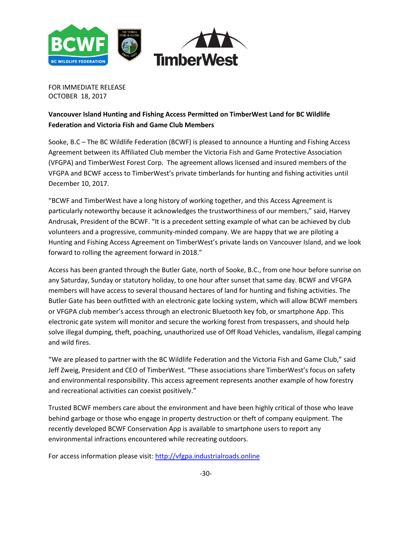

FOR IMMEDIATE RELEASE OCTOBER 18, 2017

# **Vancouver Island Hunting and Fishing Access Permitted on TimberWest Land for BC Wildlife Federation and Victoria Fish and Game Club Members**

Sooke, B.C – The BC Wildlife Federation (BCWF) is pleased to announce a Hunting and Fishing Access Agreement between its Affiliated Club member the Victoria Fish and Game Protective Association (VFGPA) and TimberWest Forest Corp. The agreement allows licensed and insured members of the VFGPA and BCWF access to TimberWest's private timberlands for hunting and fishing activities until December 10, 2017.

"BCWF and TimberWest have a long history of working together, and this Access Agreement is particularly noteworthy because it acknowledges the trustworthiness of our members," said, Harvey Andrusak, President of the BCWF. "It is a precedent setting example of what can be achieved by club volunteers and a progressive, community-minded company. We are happy that we are piloting a Hunting and Fishing Access Agreement on TimberWest's private lands on Vancouver Island, and we look forward to rolling the agreement forward in 2018."

Access has been granted through the Butler Gate, north of Sooke, B.C., from one hour before sunrise on any Saturday, Sunday or statutory holiday, to one hour after sunset that same day. BCWF and VFGPA members will have access to several thousand hectares of land for hunting and fishing activities. The Butler Gate has been outfitted with an electronic gate locking system, which will allow BCWF members or VFGPA club member's access through an electronic Bluetooth key fob, or smartphone App. This electronic gate system will monitor and secure the working forest from trespassers, and should help solve illegal dumping, theft, poaching, unauthorized use of Off Road Vehicles, vandalism, illegal camping and wild fires.

"We are pleased to partner with the BC Wildlife Federation and the Victoria Fish and Game Club," said Jeff Zweig, President and CEO of TimberWest. "These associations share TimberWest's focus on safety and environmental responsibility. This access agreement represents another example of how forestry and recreational activities can coexist positively."

Trusted BCWF members care about the environment and have been highly critical of those who leave behind garbage or those who engage in property destruction or theft of company equipment. The recently developed BCWF Conservation App is available to smartphone users to report any environmental infractions encountered while recreating outdoors.

For access information please visit[: http://vfgpa.industrialroads.online](http://vfgpa.industrialroads.online/)